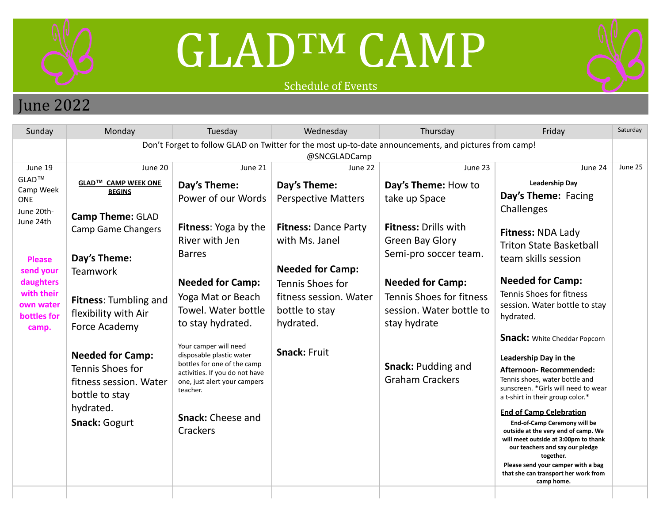

## GLAD™ CAMP

## Schedule of Events



## June 2022

| Sunday                                                                                                                                                                     | Monday                                                                                                                                                                                                                                                             | Tuesday                                                                                                                                                                                                                                                                                  | Wednesday                                                                                                                                                                                                                                             | Thursday                                                                                                                                                                                                                                                          | Friday                                                                                                                                                                                                                                                                                                                                                                                                 | Saturday |  |  |  |
|----------------------------------------------------------------------------------------------------------------------------------------------------------------------------|--------------------------------------------------------------------------------------------------------------------------------------------------------------------------------------------------------------------------------------------------------------------|------------------------------------------------------------------------------------------------------------------------------------------------------------------------------------------------------------------------------------------------------------------------------------------|-------------------------------------------------------------------------------------------------------------------------------------------------------------------------------------------------------------------------------------------------------|-------------------------------------------------------------------------------------------------------------------------------------------------------------------------------------------------------------------------------------------------------------------|--------------------------------------------------------------------------------------------------------------------------------------------------------------------------------------------------------------------------------------------------------------------------------------------------------------------------------------------------------------------------------------------------------|----------|--|--|--|
|                                                                                                                                                                            | Don't Forget to follow GLAD on Twitter for the most up-to-date announcements, and pictures from camp!                                                                                                                                                              |                                                                                                                                                                                                                                                                                          |                                                                                                                                                                                                                                                       |                                                                                                                                                                                                                                                                   |                                                                                                                                                                                                                                                                                                                                                                                                        |          |  |  |  |
| June 19<br>$GLAD^{TM}$<br>Camp Week<br><b>ONE</b><br>June 20th-<br>June 24th<br><b>Please</b><br>send your<br>daughters<br>with their<br>own water<br>bottles for<br>camp. | June 20<br>GLAD™ CAMP WEEK ONE<br><b>BEGINS</b><br><b>Camp Theme: GLAD</b><br><b>Camp Game Changers</b><br>Day's Theme:<br><b>Teamwork</b><br><b>Fitness: Tumbling and</b><br>flexibility with Air<br>Force Academy<br><b>Needed for Camp:</b><br>Tennis Shoes for | June 21<br>Day's Theme:<br>Power of our Words<br>Fitness: Yoga by the<br>River with Jen<br><b>Barres</b><br><b>Needed for Camp:</b><br>Yoga Mat or Beach<br>Towel. Water bottle<br>to stay hydrated.<br>Your camper will need<br>disposable plastic water<br>bottles for one of the camp | @SNCGLADCamp<br>June 22<br>Day's Theme:<br><b>Perspective Matters</b><br><b>Fitness: Dance Party</b><br>with Ms. Janel<br><b>Needed for Camp:</b><br>Tennis Shoes for<br>fitness session. Water<br>bottle to stay<br>hydrated.<br><b>Snack: Fruit</b> | June 23<br>Day's Theme: How to<br>take up Space<br><b>Fitness: Drills with</b><br><b>Green Bay Glory</b><br>Semi-pro soccer team.<br><b>Needed for Camp:</b><br>Tennis Shoes for fitness<br>session. Water bottle to<br>stay hydrate<br><b>Snack: Pudding and</b> | June 24<br><b>Leadership Day</b><br>Day's Theme: Facing<br>Challenges<br>Fitness: NDA Lady<br><b>Triton State Basketball</b><br>team skills session<br><b>Needed for Camp:</b><br>Tennis Shoes for fitness<br>session. Water bottle to stay<br>hydrated.<br><b>Snack:</b> White Cheddar Popcorn<br>Leadership Day in the<br>Afternoon-Recommended:                                                     | June 25  |  |  |  |
|                                                                                                                                                                            | fitness session. Water<br>bottle to stay<br>hydrated.<br><b>Snack: Gogurt</b>                                                                                                                                                                                      | activities. If you do not have<br>one, just alert your campers<br>teacher.<br><b>Snack: Cheese and</b><br><b>Crackers</b>                                                                                                                                                                |                                                                                                                                                                                                                                                       | <b>Graham Crackers</b>                                                                                                                                                                                                                                            | Tennis shoes, water bottle and<br>sunscreen. *Girls will need to wear<br>a t-shirt in their group color.*<br><b>End of Camp Celebration</b><br>End-of-Camp Ceremony will be<br>outside at the very end of camp. We<br>will meet outside at 3:00pm to thank<br>our teachers and say our pledge<br>together.<br>Please send your camper with a bag<br>that she can transport her work from<br>camp home. |          |  |  |  |